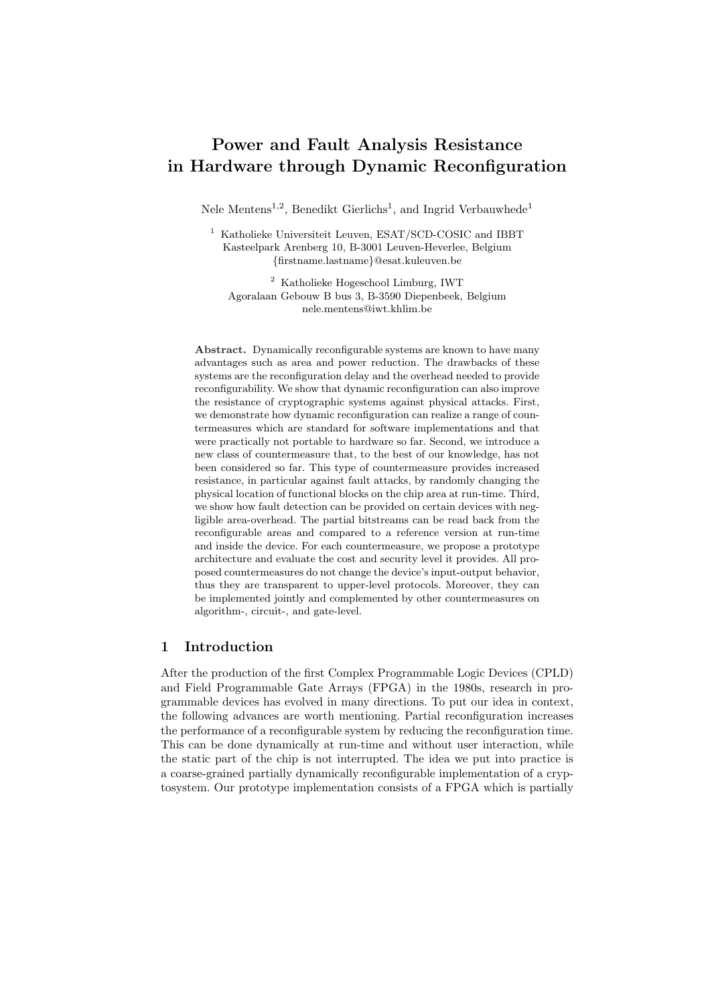# Power and Fault Analysis Resistance in Hardware through Dynamic Reconfiguration

Nele Mentens<sup>1,2</sup>, Benedikt Gierlichs<sup>1</sup>, and Ingrid Verbauwhede<sup>1</sup>

<sup>1</sup> Katholieke Universiteit Leuven, ESAT/SCD-COSIC and IBBT Kasteelpark Arenberg 10, B-3001 Leuven-Heverlee, Belgium {firstname.lastname}@esat.kuleuven.be

<sup>2</sup> Katholieke Hogeschool Limburg, IWT Agoralaan Gebouw B bus 3, B-3590 Diepenbeek, Belgium nele.mentens@iwt.khlim.be

Abstract. Dynamically reconfigurable systems are known to have many advantages such as area and power reduction. The drawbacks of these systems are the reconfiguration delay and the overhead needed to provide reconfigurability. We show that dynamic reconfiguration can also improve the resistance of cryptographic systems against physical attacks. First, we demonstrate how dynamic reconfiguration can realize a range of countermeasures which are standard for software implementations and that were practically not portable to hardware so far. Second, we introduce a new class of countermeasure that, to the best of our knowledge, has not been considered so far. This type of countermeasure provides increased resistance, in particular against fault attacks, by randomly changing the physical location of functional blocks on the chip area at run-time. Third, we show how fault detection can be provided on certain devices with negligible area-overhead. The partial bitstreams can be read back from the reconfigurable areas and compared to a reference version at run-time and inside the device. For each countermeasure, we propose a prototype architecture and evaluate the cost and security level it provides. All proposed countermeasures do not change the device's input-output behavior, thus they are transparent to upper-level protocols. Moreover, they can be implemented jointly and complemented by other countermeasures on algorithm-, circuit-, and gate-level.

# 1 Introduction

After the production of the first Complex Programmable Logic Devices (CPLD) and Field Programmable Gate Arrays (FPGA) in the 1980s, research in programmable devices has evolved in many directions. To put our idea in context, the following advances are worth mentioning. Partial reconfiguration increases the performance of a reconfigurable system by reducing the reconfiguration time. This can be done dynamically at run-time and without user interaction, while the static part of the chip is not interrupted. The idea we put into practice is a coarse-grained partially dynamically reconfigurable implementation of a cryptosystem. Our prototype implementation consists of a FPGA which is partially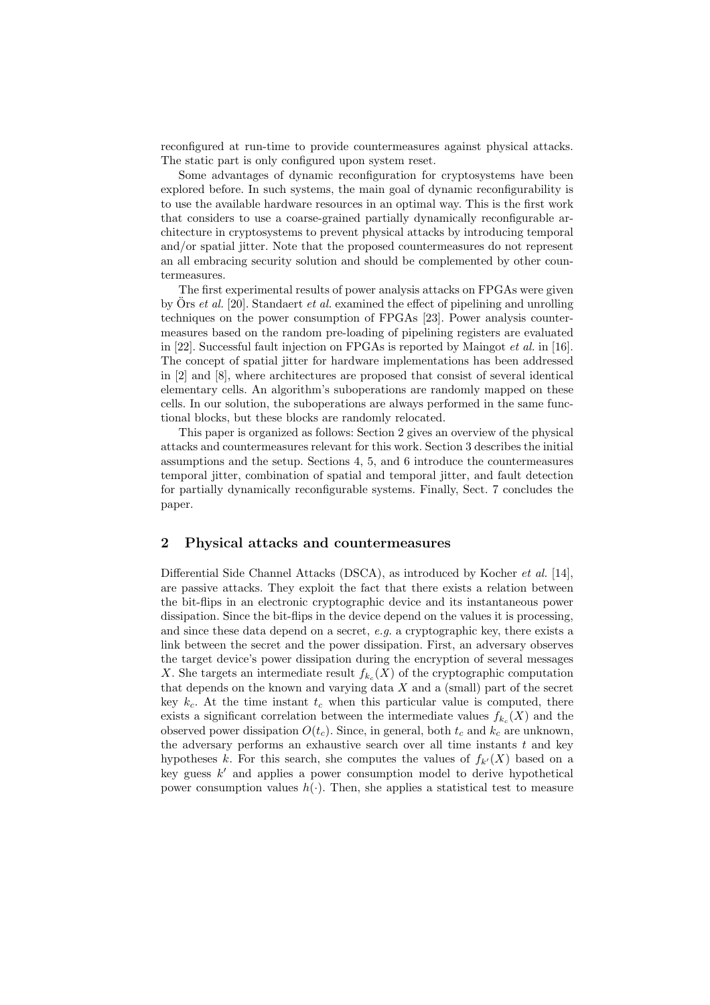reconfigured at run-time to provide countermeasures against physical attacks. The static part is only configured upon system reset.

Some advantages of dynamic reconfiguration for cryptosystems have been explored before. In such systems, the main goal of dynamic reconfigurability is to use the available hardware resources in an optimal way. This is the first work that considers to use a coarse-grained partially dynamically reconfigurable architecture in cryptosystems to prevent physical attacks by introducing temporal and/or spatial jitter. Note that the proposed countermeasures do not represent an all embracing security solution and should be complemented by other countermeasures.

The first experimental results of power analysis attacks on FPGAs were given by Ors *et al.* [20]. Standaert *et al.* examined the effect of pipelining and unrolling techniques on the power consumption of FPGAs [23]. Power analysis countermeasures based on the random pre-loading of pipelining registers are evaluated in [22]. Successful fault injection on FPGAs is reported by Maingot et al. in [16]. The concept of spatial jitter for hardware implementations has been addressed in [2] and [8], where architectures are proposed that consist of several identical elementary cells. An algorithm's suboperations are randomly mapped on these cells. In our solution, the suboperations are always performed in the same functional blocks, but these blocks are randomly relocated.

This paper is organized as follows: Section 2 gives an overview of the physical attacks and countermeasures relevant for this work. Section 3 describes the initial assumptions and the setup. Sections 4, 5, and 6 introduce the countermeasures temporal jitter, combination of spatial and temporal jitter, and fault detection for partially dynamically reconfigurable systems. Finally, Sect. 7 concludes the paper.

# 2 Physical attacks and countermeasures

Differential Side Channel Attacks (DSCA), as introduced by Kocher et al. [14], are passive attacks. They exploit the fact that there exists a relation between the bit-flips in an electronic cryptographic device and its instantaneous power dissipation. Since the bit-flips in the device depend on the values it is processing, and since these data depend on a secret, e.g. a cryptographic key, there exists a link between the secret and the power dissipation. First, an adversary observes the target device's power dissipation during the encryption of several messages X. She targets an intermediate result  $f_{k_c}(X)$  of the cryptographic computation that depends on the known and varying data  $X$  and a (small) part of the secret key  $k_c$ . At the time instant  $t_c$  when this particular value is computed, there exists a significant correlation between the intermediate values  $f_{k_c}(X)$  and the observed power dissipation  $O(t_c)$ . Since, in general, both  $t_c$  and  $k_c$  are unknown, the adversary performs an exhaustive search over all time instants  $t$  and key hypotheses k. For this search, she computes the values of  $f_{k}(X)$  based on a key guess  $k'$  and applies a power consumption model to derive hypothetical power consumption values  $h(\cdot)$ . Then, she applies a statistical test to measure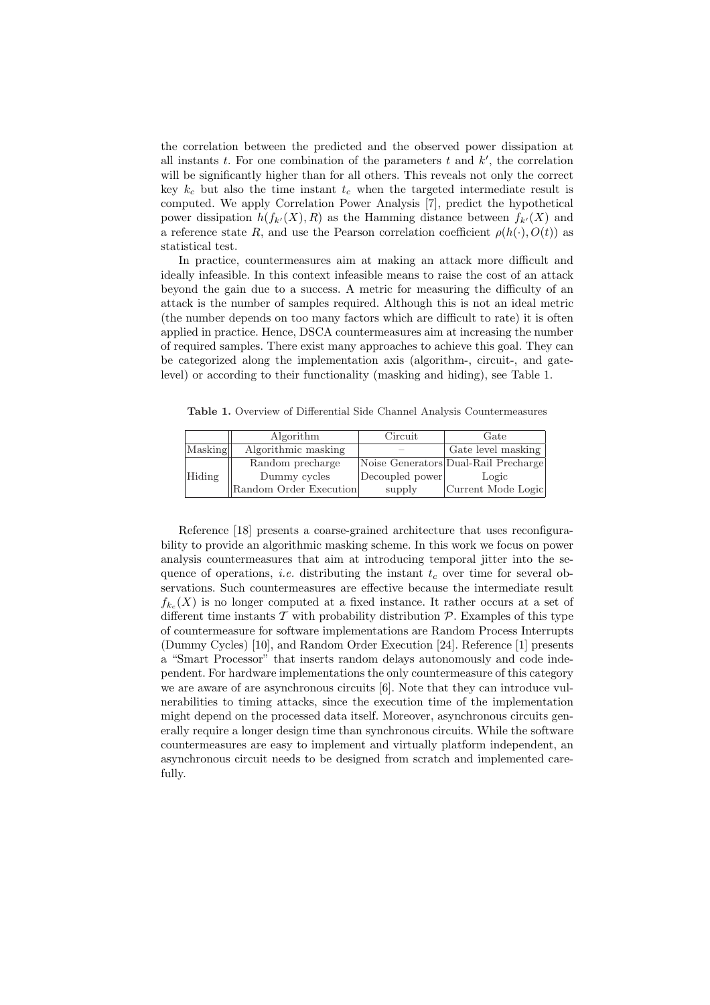the correlation between the predicted and the observed power dissipation at all instants  $t$ . For one combination of the parameters  $t$  and  $k'$ , the correlation will be significantly higher than for all others. This reveals not only the correct key  $k_c$  but also the time instant  $t_c$  when the targeted intermediate result is computed. We apply Correlation Power Analysis [7], predict the hypothetical power dissipation  $h(f_{k}(X), R)$  as the Hamming distance between  $f_{k}(X)$  and a reference state R, and use the Pearson correlation coefficient  $\rho(h(\cdot), O(t))$  as statistical test.

In practice, countermeasures aim at making an attack more difficult and ideally infeasible. In this context infeasible means to raise the cost of an attack beyond the gain due to a success. A metric for measuring the difficulty of an attack is the number of samples required. Although this is not an ideal metric (the number depends on too many factors which are difficult to rate) it is often applied in practice. Hence, DSCA countermeasures aim at increasing the number of required samples. There exist many approaches to achieve this goal. They can be categorized along the implementation axis (algorithm-, circuit-, and gatelevel) or according to their functionality (masking and hiding), see Table 1.

Table 1. Overview of Differential Side Channel Analysis Countermeasures

|         | Algorithm              | Circuit         | Gate                                 |  |
|---------|------------------------|-----------------|--------------------------------------|--|
| Masking | Algorithmic masking    |                 | Gate level masking                   |  |
|         | Random precharge       |                 | Noise Generators Dual-Rail Precharge |  |
| Hiding  | Dummy cycles           | Decoupled power | Logic                                |  |
|         | Random Order Execution | supply          | Current Mode Logic                   |  |

Reference [18] presents a coarse-grained architecture that uses reconfigurability to provide an algorithmic masking scheme. In this work we focus on power analysis countermeasures that aim at introducing temporal jitter into the sequence of operations, *i.e.* distributing the instant  $t_c$  over time for several observations. Such countermeasures are effective because the intermediate result  $f_{k_c}(X)$  is no longer computed at a fixed instance. It rather occurs at a set of different time instants  $\mathcal T$  with probability distribution  $\mathcal P$ . Examples of this type of countermeasure for software implementations are Random Process Interrupts (Dummy Cycles) [10], and Random Order Execution [24]. Reference [1] presents a "Smart Processor" that inserts random delays autonomously and code independent. For hardware implementations the only countermeasure of this category we are aware of are asynchronous circuits [6]. Note that they can introduce vulnerabilities to timing attacks, since the execution time of the implementation might depend on the processed data itself. Moreover, asynchronous circuits generally require a longer design time than synchronous circuits. While the software countermeasures are easy to implement and virtually platform independent, an asynchronous circuit needs to be designed from scratch and implemented carefully.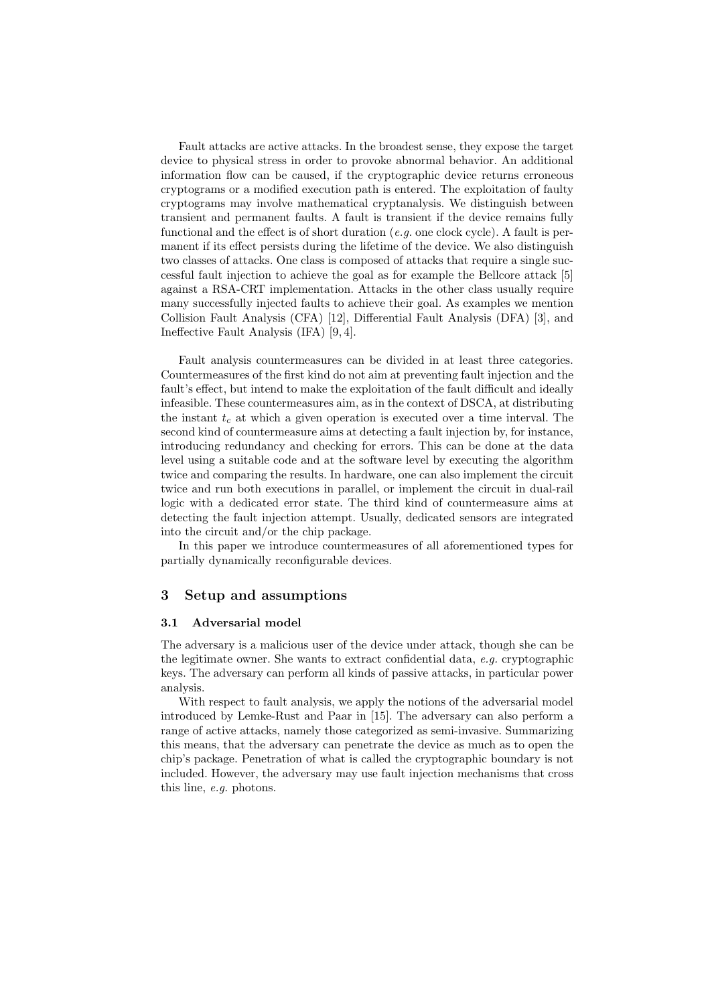Fault attacks are active attacks. In the broadest sense, they expose the target device to physical stress in order to provoke abnormal behavior. An additional information flow can be caused, if the cryptographic device returns erroneous cryptograms or a modified execution path is entered. The exploitation of faulty cryptograms may involve mathematical cryptanalysis. We distinguish between transient and permanent faults. A fault is transient if the device remains fully functional and the effect is of short duration  $(e.g.$  one clock cycle). A fault is permanent if its effect persists during the lifetime of the device. We also distinguish two classes of attacks. One class is composed of attacks that require a single successful fault injection to achieve the goal as for example the Bellcore attack [5] against a RSA-CRT implementation. Attacks in the other class usually require many successfully injected faults to achieve their goal. As examples we mention Collision Fault Analysis (CFA) [12], Differential Fault Analysis (DFA) [3], and Ineffective Fault Analysis (IFA) [9, 4].

Fault analysis countermeasures can be divided in at least three categories. Countermeasures of the first kind do not aim at preventing fault injection and the fault's effect, but intend to make the exploitation of the fault difficult and ideally infeasible. These countermeasures aim, as in the context of DSCA, at distributing the instant  $t_c$  at which a given operation is executed over a time interval. The second kind of countermeasure aims at detecting a fault injection by, for instance, introducing redundancy and checking for errors. This can be done at the data level using a suitable code and at the software level by executing the algorithm twice and comparing the results. In hardware, one can also implement the circuit twice and run both executions in parallel, or implement the circuit in dual-rail logic with a dedicated error state. The third kind of countermeasure aims at detecting the fault injection attempt. Usually, dedicated sensors are integrated into the circuit and/or the chip package.

In this paper we introduce countermeasures of all aforementioned types for partially dynamically reconfigurable devices.

# 3 Setup and assumptions

### 3.1 Adversarial model

The adversary is a malicious user of the device under attack, though she can be the legitimate owner. She wants to extract confidential data, e.g. cryptographic keys. The adversary can perform all kinds of passive attacks, in particular power analysis.

With respect to fault analysis, we apply the notions of the adversarial model introduced by Lemke-Rust and Paar in [15]. The adversary can also perform a range of active attacks, namely those categorized as semi-invasive. Summarizing this means, that the adversary can penetrate the device as much as to open the chip's package. Penetration of what is called the cryptographic boundary is not included. However, the adversary may use fault injection mechanisms that cross this line, e.g. photons.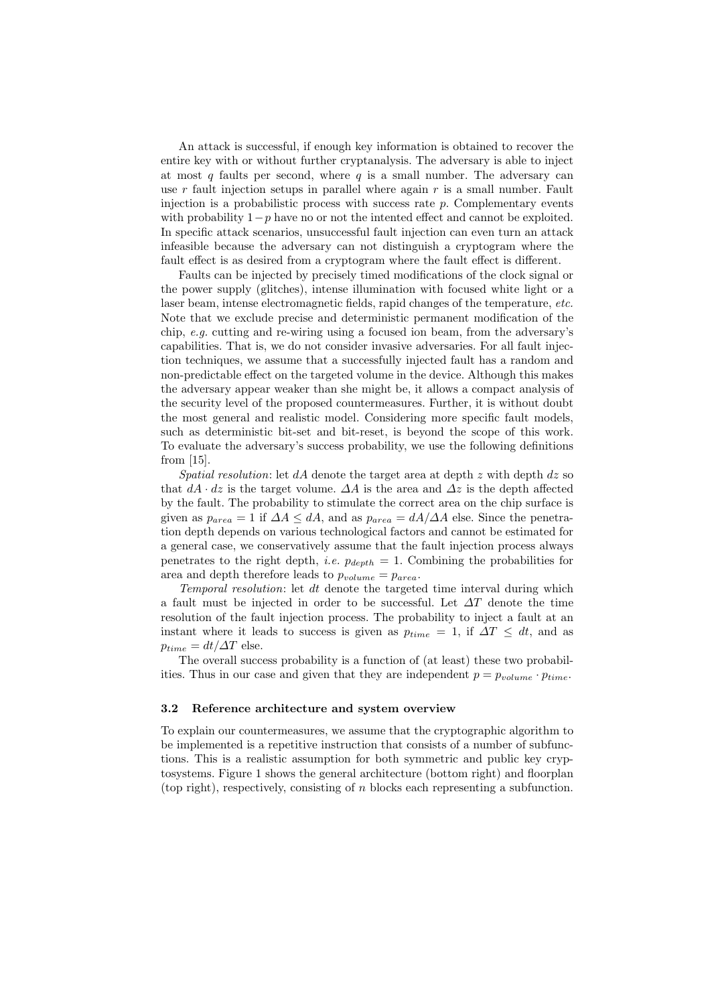An attack is successful, if enough key information is obtained to recover the entire key with or without further cryptanalysis. The adversary is able to inject at most  $q$  faults per second, where  $q$  is a small number. The adversary can use  $r$  fault injection setups in parallel where again  $r$  is a small number. Fault injection is a probabilistic process with success rate  $p$ . Complementary events with probability  $1-p$  have no or not the intented effect and cannot be exploited. In specific attack scenarios, unsuccessful fault injection can even turn an attack infeasible because the adversary can not distinguish a cryptogram where the fault effect is as desired from a cryptogram where the fault effect is different.

Faults can be injected by precisely timed modifications of the clock signal or the power supply (glitches), intense illumination with focused white light or a laser beam, intense electromagnetic fields, rapid changes of the temperature, etc. Note that we exclude precise and deterministic permanent modification of the chip, e.g. cutting and re-wiring using a focused ion beam, from the adversary's capabilities. That is, we do not consider invasive adversaries. For all fault injection techniques, we assume that a successfully injected fault has a random and non-predictable effect on the targeted volume in the device. Although this makes the adversary appear weaker than she might be, it allows a compact analysis of the security level of the proposed countermeasures. Further, it is without doubt the most general and realistic model. Considering more specific fault models, such as deterministic bit-set and bit-reset, is beyond the scope of this work. To evaluate the adversary's success probability, we use the following definitions from [15].

Spatial resolution: let dA denote the target area at depth  $z$  with depth  $dz$  so that  $dA \cdot dz$  is the target volume.  $\Delta A$  is the area and  $\Delta z$  is the depth affected by the fault. The probability to stimulate the correct area on the chip surface is given as  $p_{area} = 1$  if  $\Delta A \leq dA$ , and as  $p_{area} = dA/\Delta A$  else. Since the penetration depth depends on various technological factors and cannot be estimated for a general case, we conservatively assume that the fault injection process always penetrates to the right depth, *i.e.*  $p_{depth} = 1$ . Combining the probabilities for area and depth therefore leads to  $p_{volume} = p_{area}$ .

Temporal resolution: let dt denote the targeted time interval during which a fault must be injected in order to be successful. Let  $\Delta T$  denote the time resolution of the fault injection process. The probability to inject a fault at an instant where it leads to success is given as  $p_{time} = 1$ , if  $\Delta T \le dt$ , and as  $p_{time} = dt/\Delta T$  else.

The overall success probability is a function of (at least) these two probabilities. Thus in our case and given that they are independent  $p = p_{volume} \cdot p_{time}$ .

#### 3.2 Reference architecture and system overview

To explain our countermeasures, we assume that the cryptographic algorithm to be implemented is a repetitive instruction that consists of a number of subfunctions. This is a realistic assumption for both symmetric and public key cryptosystems. Figure 1 shows the general architecture (bottom right) and floorplan (top right), respectively, consisting of  $n$  blocks each representing a subfunction.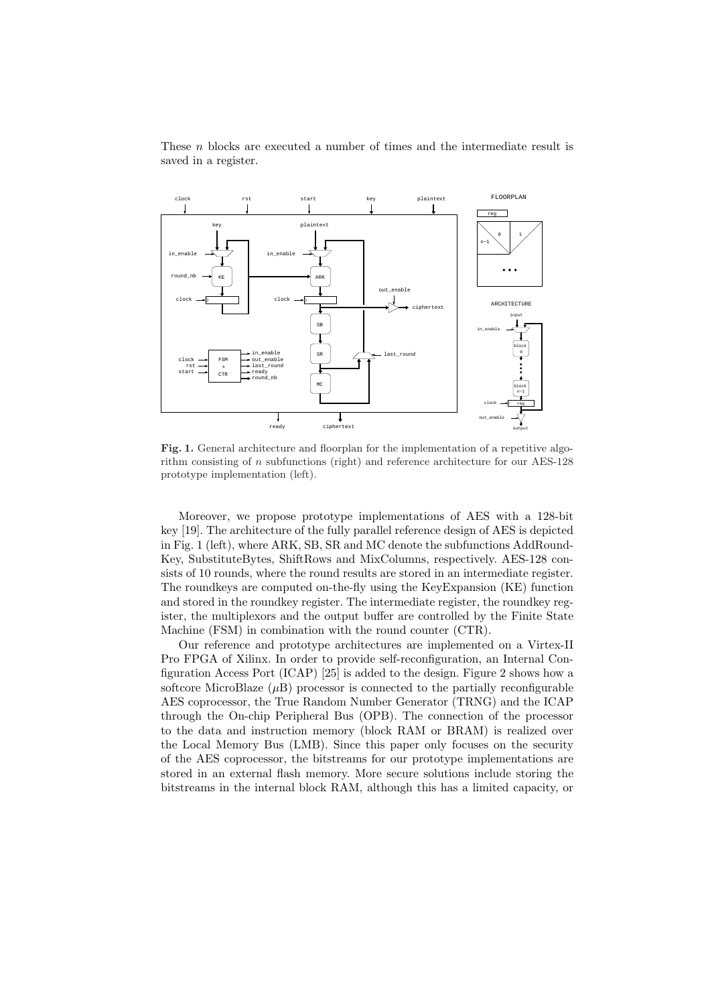

These n blocks are executed a number of times and the intermediate result is saved in a register.

Fig. 1. General architecture and floorplan for the implementation of a repetitive algorithm consisting of n subfunctions (right) and reference architecture for our AES-128 prototype implementation (left).

Moreover, we propose prototype implementations of AES with a 128-bit key [19]. The architecture of the fully parallel reference design of AES is depicted in Fig. 1 (left), where ARK, SB, SR and MC denote the subfunctions AddRound-Key, SubstituteBytes, ShiftRows and MixColumns, respectively. AES-128 consists of 10 rounds, where the round results are stored in an intermediate register. The roundkeys are computed on-the-fly using the KeyExpansion (KE) function and stored in the roundkey register. The intermediate register, the roundkey register, the multiplexors and the output buffer are controlled by the Finite State Machine (FSM) in combination with the round counter (CTR).

Our reference and prototype architectures are implemented on a Virtex-II Pro FPGA of Xilinx. In order to provide self-reconfiguration, an Internal Configuration Access Port (ICAP) [25] is added to the design. Figure 2 shows how a softcore MicroBlaze  $(\mu B)$  processor is connected to the partially reconfigurable AES coprocessor, the True Random Number Generator (TRNG) and the ICAP through the On-chip Peripheral Bus (OPB). The connection of the processor to the data and instruction memory (block RAM or BRAM) is realized over the Local Memory Bus (LMB). Since this paper only focuses on the security of the AES coprocessor, the bitstreams for our prototype implementations are stored in an external flash memory. More secure solutions include storing the bitstreams in the internal block RAM, although this has a limited capacity, or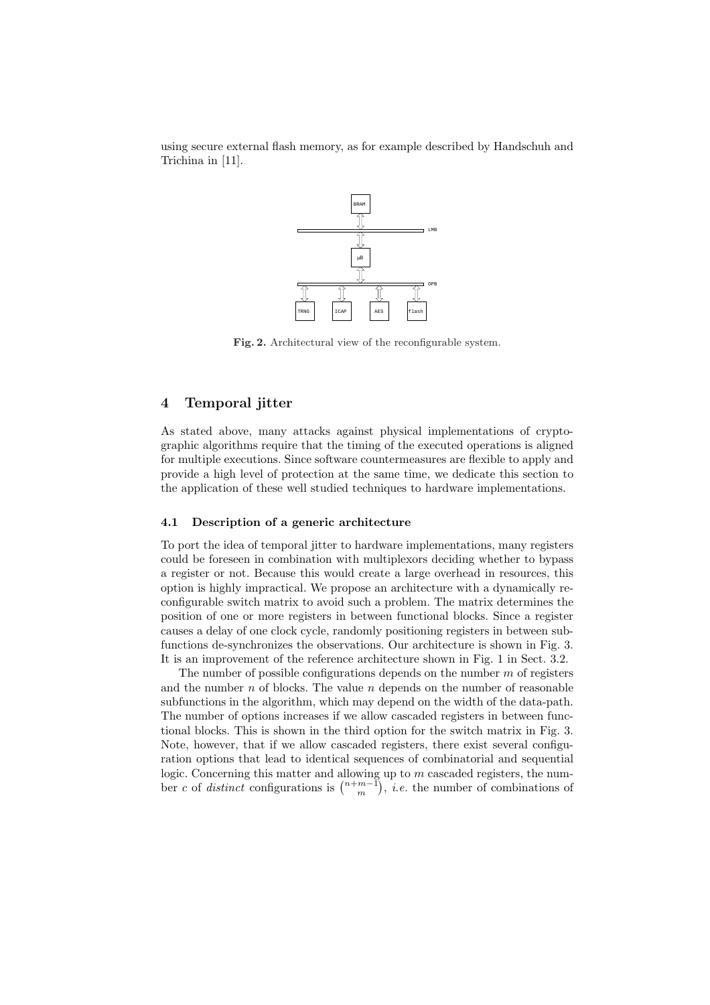using secure external flash memory, as for example described by Handschuh and Trichina in [11].



Fig. 2. Architectural view of the reconfigurable system.

# 4 Temporal jitter

As stated above, many attacks against physical implementations of cryptographic algorithms require that the timing of the executed operations is aligned for multiple executions. Since software countermeasures are flexible to apply and provide a high level of protection at the same time, we dedicate this section to the application of these well studied techniques to hardware implementations.

#### 4.1 Description of a generic architecture

To port the idea of temporal jitter to hardware implementations, many registers could be foreseen in combination with multiplexors deciding whether to bypass a register or not. Because this would create a large overhead in resources, this option is highly impractical. We propose an architecture with a dynamically reconfigurable switch matrix to avoid such a problem. The matrix determines the position of one or more registers in between functional blocks. Since a register causes a delay of one clock cycle, randomly positioning registers in between subfunctions de-synchronizes the observations. Our architecture is shown in Fig. 3. It is an improvement of the reference architecture shown in Fig. 1 in Sect. 3.2.

The number of possible configurations depends on the number  $m$  of registers and the number  $n$  of blocks. The value  $n$  depends on the number of reasonable subfunctions in the algorithm, which may depend on the width of the data-path. The number of options increases if we allow cascaded registers in between functional blocks. This is shown in the third option for the switch matrix in Fig. 3. Note, however, that if we allow cascaded registers, there exist several configuration options that lead to identical sequences of combinatorial and sequential logic. Concerning this matter and allowing up to  $m$  cascaded registers, the number c of *distinct* configurations is  $\binom{n+m-1}{m}$ ;<br>∖ , i.e. the number of combinations of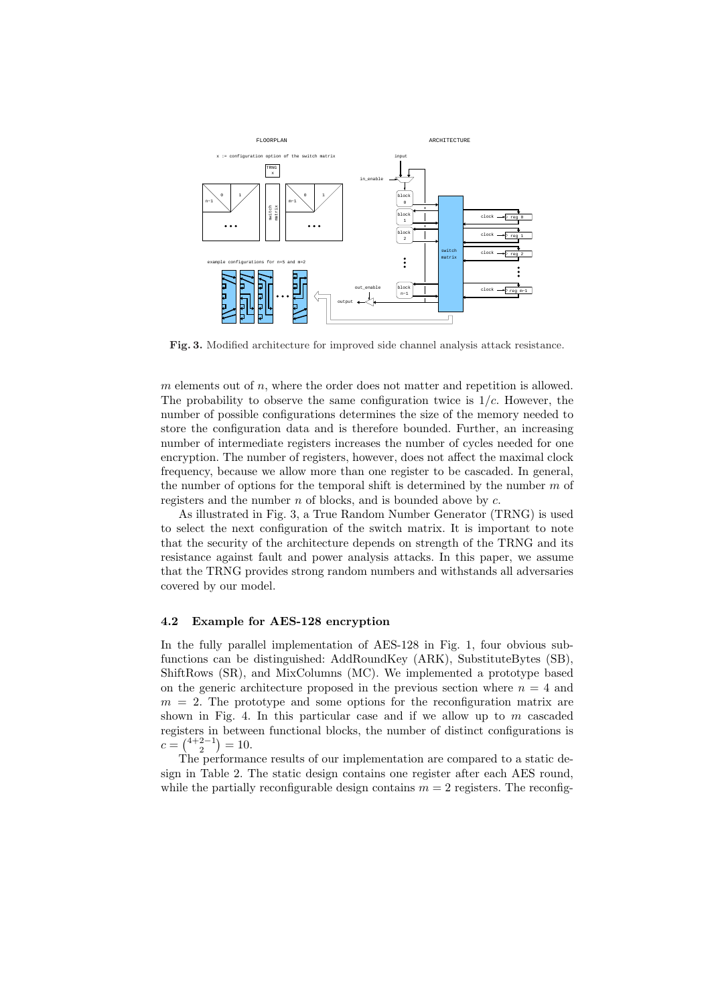

Fig. 3. Modified architecture for improved side channel analysis attack resistance.

 $m$  elements out of  $n$ , where the order does not matter and repetition is allowed. The probability to observe the same configuration twice is  $1/c$ . However, the number of possible configurations determines the size of the memory needed to store the configuration data and is therefore bounded. Further, an increasing number of intermediate registers increases the number of cycles needed for one encryption. The number of registers, however, does not affect the maximal clock frequency, because we allow more than one register to be cascaded. In general, the number of options for the temporal shift is determined by the number  $m$  of registers and the number  $n$  of blocks, and is bounded above by  $c$ .

As illustrated in Fig. 3, a True Random Number Generator (TRNG) is used to select the next configuration of the switch matrix. It is important to note that the security of the architecture depends on strength of the TRNG and its resistance against fault and power analysis attacks. In this paper, we assume that the TRNG provides strong random numbers and withstands all adversaries covered by our model.

#### 4.2 Example for AES-128 encryption

In the fully parallel implementation of AES-128 in Fig. 1, four obvious subfunctions can be distinguished: AddRoundKey (ARK), SubstituteBytes (SB), ShiftRows (SR), and MixColumns (MC). We implemented a prototype based on the generic architecture proposed in the previous section where  $n = 4$  and  $m = 2$ . The prototype and some options for the reconfiguration matrix are shown in Fig. 4. In this particular case and if we allow up to m cascaded registers in between functional blocks, the number of distinct configurations is  $c =$  $\frac{4+2-1}{2}$  $\frac{1}{\sqrt{2}}$  $= 10.$ 

The performance results of our implementation are compared to a static design in Table 2. The static design contains one register after each AES round, while the partially reconfigurable design contains  $m = 2$  registers. The reconfig-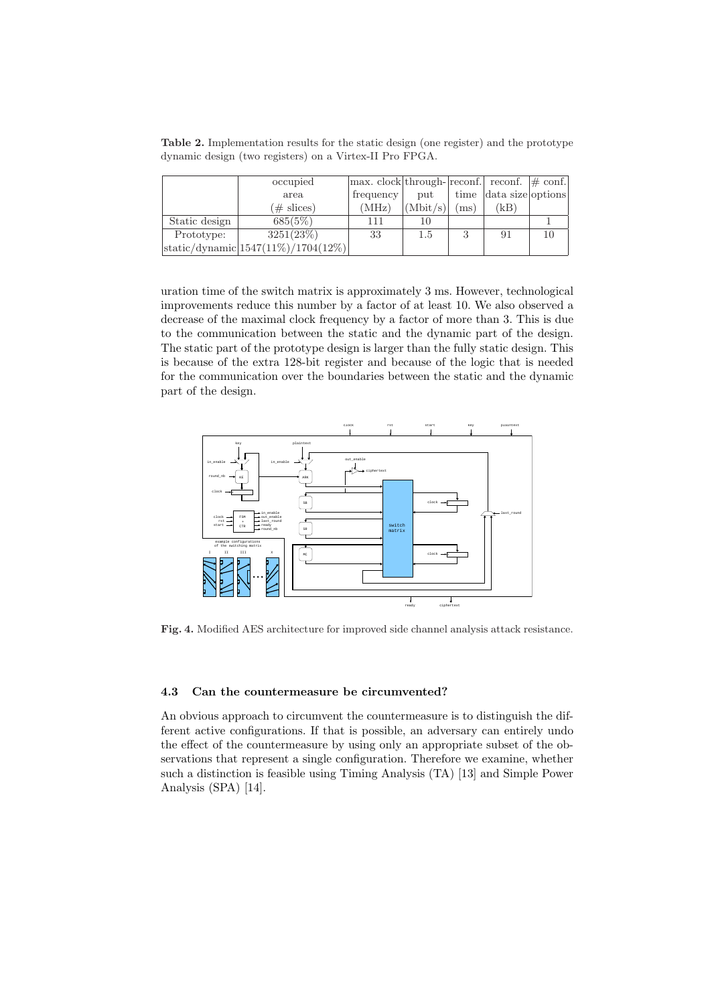Table 2. Implementation results for the static design (one register) and the prototype dynamic design (two registers) on a Virtex-II Pro FPGA.

|                                          | occupied              | $\max$ . clock through- reconf. reconf. $\#$ conf. |          |    |                        |  |
|------------------------------------------|-----------------------|----------------------------------------------------|----------|----|------------------------|--|
|                                          | area                  | frequency                                          | put      |    | time data size options |  |
|                                          | $(\# \text{ slices})$ | (MHz)                                              | (Mbit/s) | ms | $k$ B)                 |  |
| Static design                            | 685(5%)               | 111                                                | 10       |    |                        |  |
| Prototype:                               | 3251(23%)             | 33                                                 | $1.5\,$  | 3  | 91                     |  |
| $ static/dynamic 1547(11\%)/1704(12\%) $ |                       |                                                    |          |    |                        |  |

uration time of the switch matrix is approximately 3 ms. However, technological improvements reduce this number by a factor of at least 10. We also observed a decrease of the maximal clock frequency by a factor of more than 3. This is due to the communication between the static and the dynamic part of the design. The static part of the prototype design is larger than the fully static design. This is because of the extra 128-bit register and because of the logic that is needed for the communication over the boundaries between the static and the dynamic part of the design.



Fig. 4. Modified AES architecture for improved side channel analysis attack resistance.

#### 4.3 Can the countermeasure be circumvented?

An obvious approach to circumvent the countermeasure is to distinguish the different active configurations. If that is possible, an adversary can entirely undo the effect of the countermeasure by using only an appropriate subset of the observations that represent a single configuration. Therefore we examine, whether such a distinction is feasible using Timing Analysis (TA) [13] and Simple Power Analysis (SPA) [14].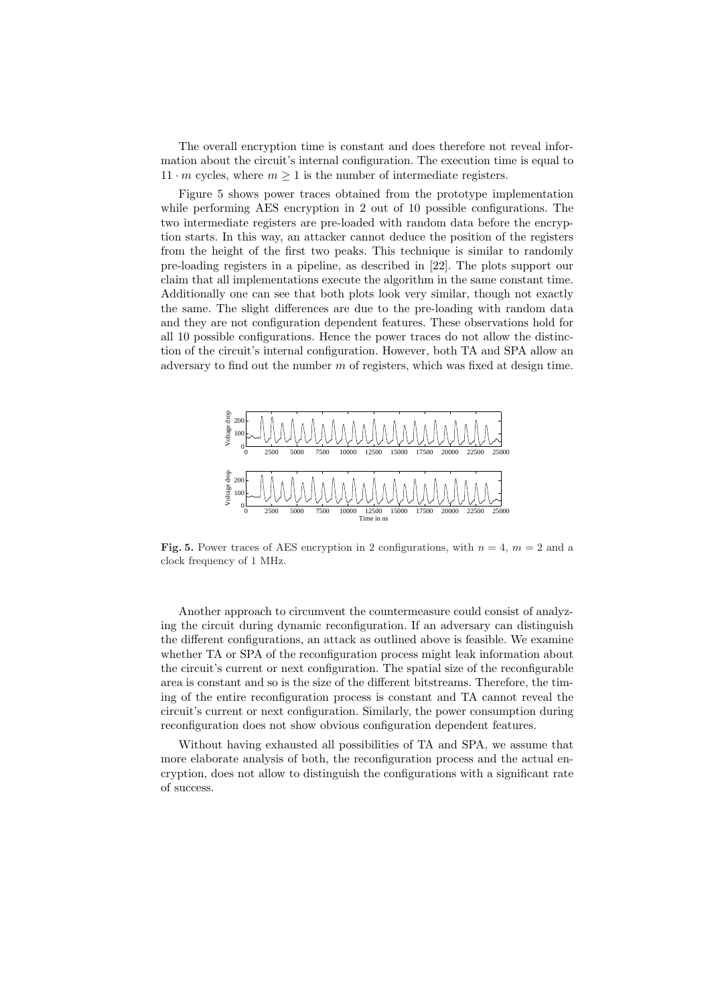The overall encryption time is constant and does therefore not reveal information about the circuit's internal configuration. The execution time is equal to 11 · *m* cycles, where  $m \ge 1$  is the number of intermediate registers.

Figure 5 shows power traces obtained from the prototype implementation while performing AES encryption in 2 out of 10 possible configurations. The two intermediate registers are pre-loaded with random data before the encryption starts. In this way, an attacker cannot deduce the position of the registers from the height of the first two peaks. This technique is similar to randomly pre-loading registers in a pipeline, as described in [22]. The plots support our claim that all implementations execute the algorithm in the same constant time. Additionally one can see that both plots look very similar, though not exactly the same. The slight differences are due to the pre-loading with random data and they are not configuration dependent features. These observations hold for all 10 possible configurations. Hence the power traces do not allow the distinction of the circuit's internal configuration. However, both TA and SPA allow an adversary to find out the number  $m$  of registers, which was fixed at design time.



Fig. 5. Power traces of AES encryption in 2 configurations, with  $n = 4$ ,  $m = 2$  and a clock frequency of 1 MHz.

Another approach to circumvent the countermeasure could consist of analyzing the circuit during dynamic reconfiguration. If an adversary can distinguish the different configurations, an attack as outlined above is feasible. We examine whether TA or SPA of the reconfiguration process might leak information about the circuit's current or next configuration. The spatial size of the reconfigurable area is constant and so is the size of the different bitstreams. Therefore, the timing of the entire reconfiguration process is constant and TA cannot reveal the circuit's current or next configuration. Similarly, the power consumption during reconfiguration does not show obvious configuration dependent features.

Without having exhausted all possibilities of TA and SPA, we assume that more elaborate analysis of both, the reconfiguration process and the actual encryption, does not allow to distinguish the configurations with a significant rate of success.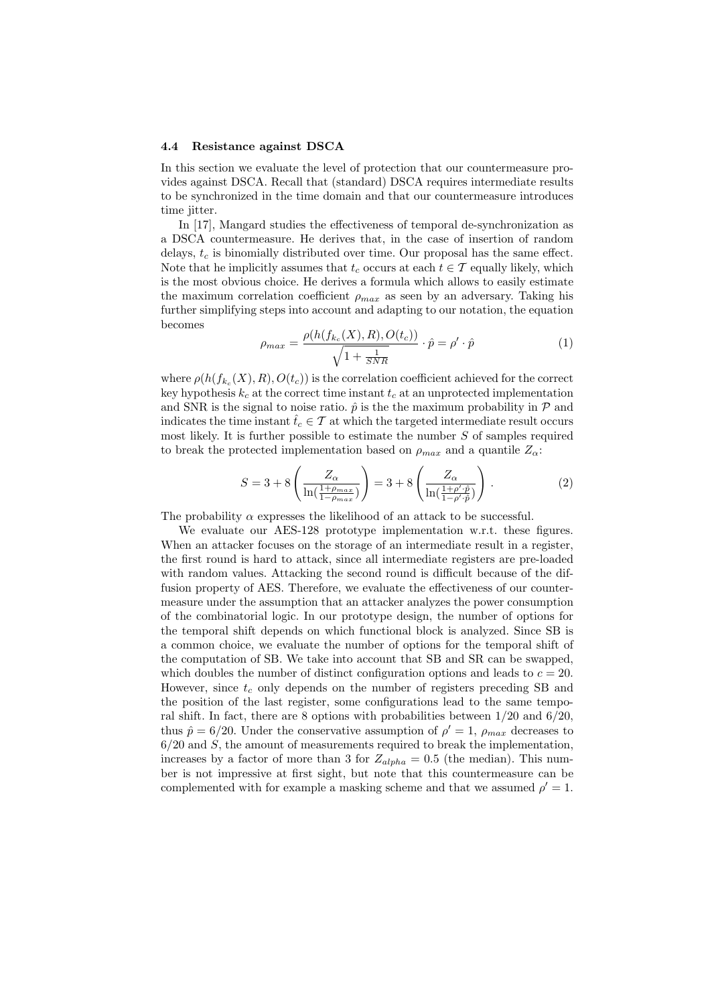#### 4.4 Resistance against DSCA

In this section we evaluate the level of protection that our countermeasure provides against DSCA. Recall that (standard) DSCA requires intermediate results to be synchronized in the time domain and that our countermeasure introduces time jitter.

In [17], Mangard studies the effectiveness of temporal de-synchronization as a DSCA countermeasure. He derives that, in the case of insertion of random delays,  $t_c$  is binomially distributed over time. Our proposal has the same effect. Note that he implicitly assumes that  $t_c$  occurs at each  $t \in \mathcal{T}$  equally likely, which is the most obvious choice. He derives a formula which allows to easily estimate the maximum correlation coefficient  $\rho_{max}$  as seen by an adversary. Taking his further simplifying steps into account and adapting to our notation, the equation becomes

$$
\rho_{max} = \frac{\rho(h(f_{k_c}(X), R), O(t_c))}{\sqrt{1 + \frac{1}{SNR}}} \cdot \hat{p} = \rho' \cdot \hat{p}
$$
\n(1)

where  $\rho(h(f_{k_c}(X), R), O(t_c))$  is the correlation coefficient achieved for the correct key hypothesis  $k_c$  at the correct time instant  $t_c$  at an unprotected implementation and SNR is the signal to noise ratio.  $\hat{p}$  is the the maximum probability in  $\mathcal{P}$  and indicates the time instant  $\hat{t}_c \in \mathcal{T}$  at which the targeted intermediate result occurs most likely. It is further possible to estimate the number  $S$  of samples required to break the protected implementation based on  $\rho_{max}$  and a quantile  $Z_{\alpha}$ :

$$
S = 3 + 8 \left( \frac{Z_{\alpha}}{\ln(\frac{1+\rho_{max}}{1-\rho_{max}})} \right) = 3 + 8 \left( \frac{Z_{\alpha}}{\ln(\frac{1+\rho'\cdot\hat{p}}{1-\rho'\cdot\hat{p}})} \right). \tag{2}
$$

The probability  $\alpha$  expresses the likelihood of an attack to be successful.

We evaluate our AES-128 prototype implementation w.r.t. these figures. When an attacker focuses on the storage of an intermediate result in a register, the first round is hard to attack, since all intermediate registers are pre-loaded with random values. Attacking the second round is difficult because of the diffusion property of AES. Therefore, we evaluate the effectiveness of our countermeasure under the assumption that an attacker analyzes the power consumption of the combinatorial logic. In our prototype design, the number of options for the temporal shift depends on which functional block is analyzed. Since SB is a common choice, we evaluate the number of options for the temporal shift of the computation of SB. We take into account that SB and SR can be swapped, which doubles the number of distinct configuration options and leads to  $c = 20$ . However, since  $t_c$  only depends on the number of registers preceding SB and the position of the last register, some configurations lead to the same temporal shift. In fact, there are 8 options with probabilities between  $1/20$  and  $6/20$ , thus  $\hat{p} = 6/20$ . Under the conservative assumption of  $\rho' = 1$ ,  $\rho_{max}$  decreases to  $6/20$  and S, the amount of measurements required to break the implementation, increases by a factor of more than 3 for  $Z_{alpha} = 0.5$  (the median). This number is not impressive at first sight, but note that this countermeasure can be complemented with for example a masking scheme and that we assumed  $\rho' = 1$ .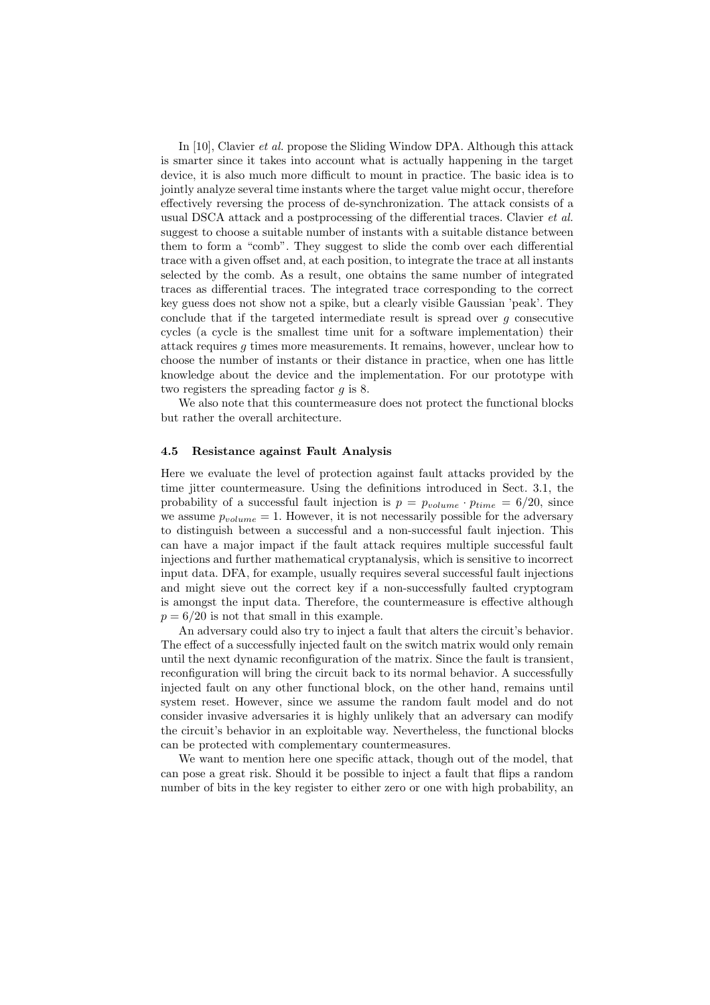In [10], Clavier et al. propose the Sliding Window DPA. Although this attack is smarter since it takes into account what is actually happening in the target device, it is also much more difficult to mount in practice. The basic idea is to jointly analyze several time instants where the target value might occur, therefore effectively reversing the process of de-synchronization. The attack consists of a usual DSCA attack and a postprocessing of the differential traces. Clavier et al. suggest to choose a suitable number of instants with a suitable distance between them to form a "comb". They suggest to slide the comb over each differential trace with a given offset and, at each position, to integrate the trace at all instants selected by the comb. As a result, one obtains the same number of integrated traces as differential traces. The integrated trace corresponding to the correct key guess does not show not a spike, but a clearly visible Gaussian 'peak'. They conclude that if the targeted intermediate result is spread over  $g$  consecutive cycles (a cycle is the smallest time unit for a software implementation) their attack requires  $q$  times more measurements. It remains, however, unclear how to choose the number of instants or their distance in practice, when one has little knowledge about the device and the implementation. For our prototype with two registers the spreading factor  $q$  is 8.

We also note that this countermeasure does not protect the functional blocks but rather the overall architecture.

#### 4.5 Resistance against Fault Analysis

Here we evaluate the level of protection against fault attacks provided by the time jitter countermeasure. Using the definitions introduced in Sect. 3.1, the probability of a successful fault injection is  $p = p_{volume} \cdot p_{time} = 6/20$ , since we assume  $p_{volume} = 1$ . However, it is not necessarily possible for the adversary to distinguish between a successful and a non-successful fault injection. This can have a major impact if the fault attack requires multiple successful fault injections and further mathematical cryptanalysis, which is sensitive to incorrect input data. DFA, for example, usually requires several successful fault injections and might sieve out the correct key if a non-successfully faulted cryptogram is amongst the input data. Therefore, the countermeasure is effective although  $p = 6/20$  is not that small in this example.

An adversary could also try to inject a fault that alters the circuit's behavior. The effect of a successfully injected fault on the switch matrix would only remain until the next dynamic reconfiguration of the matrix. Since the fault is transient, reconfiguration will bring the circuit back to its normal behavior. A successfully injected fault on any other functional block, on the other hand, remains until system reset. However, since we assume the random fault model and do not consider invasive adversaries it is highly unlikely that an adversary can modify the circuit's behavior in an exploitable way. Nevertheless, the functional blocks can be protected with complementary countermeasures.

We want to mention here one specific attack, though out of the model, that can pose a great risk. Should it be possible to inject a fault that flips a random number of bits in the key register to either zero or one with high probability, an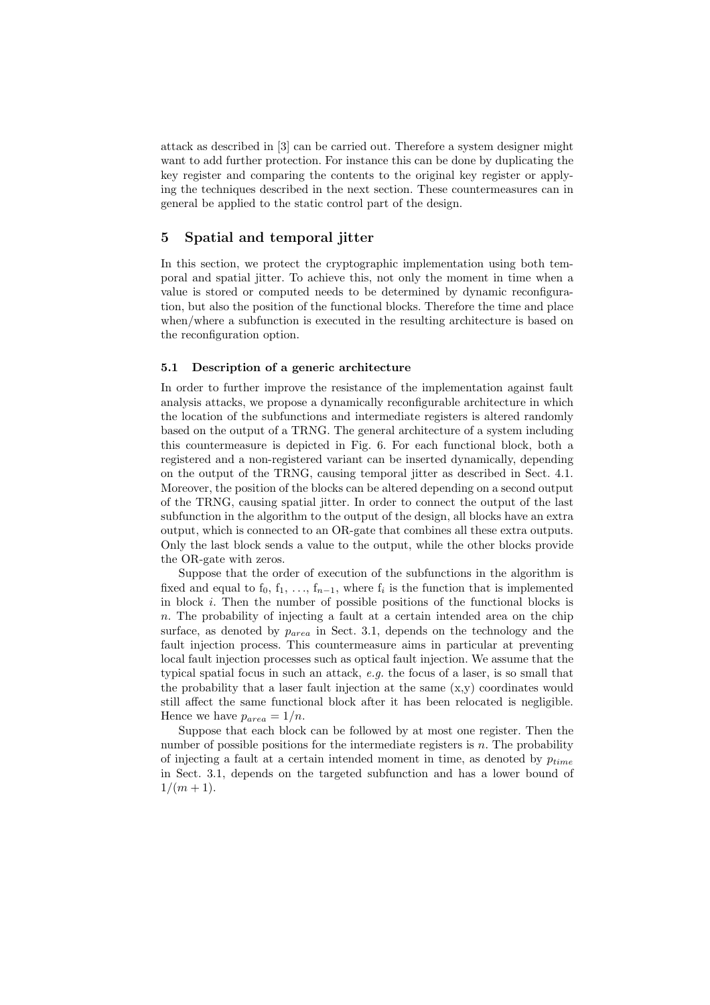attack as described in [3] can be carried out. Therefore a system designer might want to add further protection. For instance this can be done by duplicating the key register and comparing the contents to the original key register or applying the techniques described in the next section. These countermeasures can in general be applied to the static control part of the design.

# 5 Spatial and temporal jitter

In this section, we protect the cryptographic implementation using both temporal and spatial jitter. To achieve this, not only the moment in time when a value is stored or computed needs to be determined by dynamic reconfiguration, but also the position of the functional blocks. Therefore the time and place when/where a subfunction is executed in the resulting architecture is based on the reconfiguration option.

#### 5.1 Description of a generic architecture

In order to further improve the resistance of the implementation against fault analysis attacks, we propose a dynamically reconfigurable architecture in which the location of the subfunctions and intermediate registers is altered randomly based on the output of a TRNG. The general architecture of a system including this countermeasure is depicted in Fig. 6. For each functional block, both a registered and a non-registered variant can be inserted dynamically, depending on the output of the TRNG, causing temporal jitter as described in Sect. 4.1. Moreover, the position of the blocks can be altered depending on a second output of the TRNG, causing spatial jitter. In order to connect the output of the last subfunction in the algorithm to the output of the design, all blocks have an extra output, which is connected to an OR-gate that combines all these extra outputs. Only the last block sends a value to the output, while the other blocks provide the OR-gate with zeros.

Suppose that the order of execution of the subfunctions in the algorithm is fixed and equal to  $f_0, f_1, \ldots, f_{n-1}$ , where  $f_i$  is the function that is implemented in block  $i$ . Then the number of possible positions of the functional blocks is n. The probability of injecting a fault at a certain intended area on the chip surface, as denoted by  $p_{area}$  in Sect. 3.1, depends on the technology and the fault injection process. This countermeasure aims in particular at preventing local fault injection processes such as optical fault injection. We assume that the typical spatial focus in such an attack,  $e.q.$  the focus of a laser, is so small that the probability that a laser fault injection at the same  $(x,y)$  coordinates would still affect the same functional block after it has been relocated is negligible. Hence we have  $p_{area} = 1/n$ .

Suppose that each block can be followed by at most one register. Then the number of possible positions for the intermediate registers is  $n$ . The probability of injecting a fault at a certain intended moment in time, as denoted by  $p_{time}$ in Sect. 3.1, depends on the targeted subfunction and has a lower bound of  $1/(m+1)$ .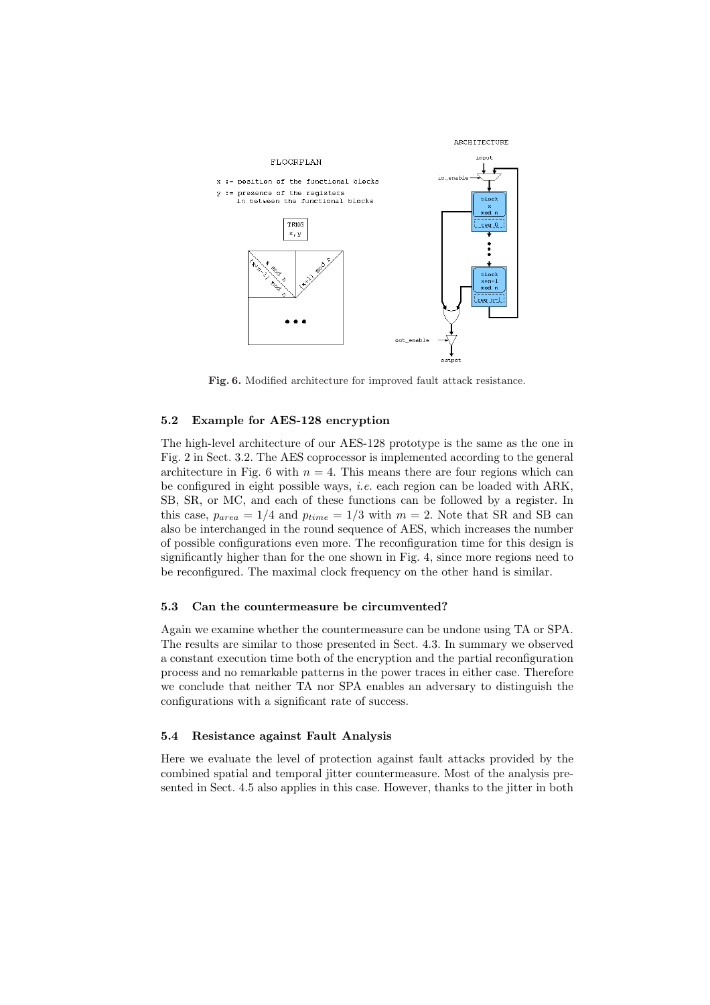

Fig. 6. Modified architecture for improved fault attack resistance.

#### 5.2 Example for AES-128 encryption

The high-level architecture of our AES-128 prototype is the same as the one in Fig. 2 in Sect. 3.2. The AES coprocessor is implemented according to the general architecture in Fig. 6 with  $n = 4$ . This means there are four regions which can be configured in eight possible ways, i.e. each region can be loaded with ARK, SB, SR, or MC, and each of these functions can be followed by a register. In this case,  $p_{area} = 1/4$  and  $p_{time} = 1/3$  with  $m = 2$ . Note that SR and SB can also be interchanged in the round sequence of AES, which increases the number of possible configurations even more. The reconfiguration time for this design is significantly higher than for the one shown in Fig. 4, since more regions need to be reconfigured. The maximal clock frequency on the other hand is similar.

#### 5.3 Can the countermeasure be circumvented?

Again we examine whether the countermeasure can be undone using TA or SPA. The results are similar to those presented in Sect. 4.3. In summary we observed a constant execution time both of the encryption and the partial reconfiguration process and no remarkable patterns in the power traces in either case. Therefore we conclude that neither TA nor SPA enables an adversary to distinguish the configurations with a significant rate of success.

#### 5.4 Resistance against Fault Analysis

Here we evaluate the level of protection against fault attacks provided by the combined spatial and temporal jitter countermeasure. Most of the analysis presented in Sect. 4.5 also applies in this case. However, thanks to the jitter in both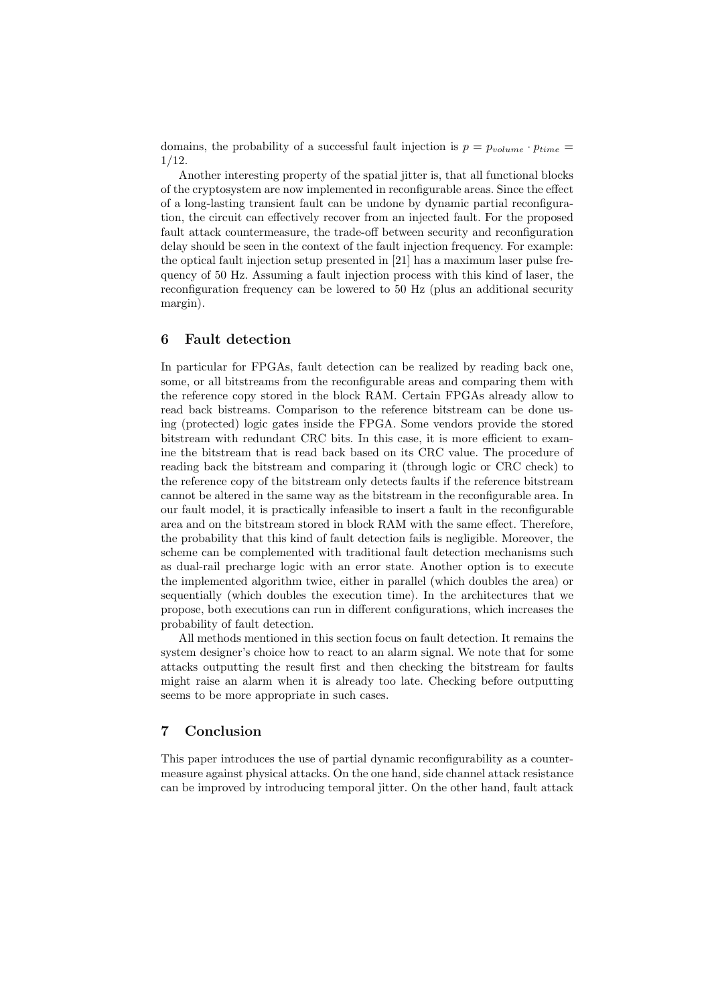domains, the probability of a successful fault injection is  $p = p_{volume} \cdot p_{time}$ 1/12.

Another interesting property of the spatial jitter is, that all functional blocks of the cryptosystem are now implemented in reconfigurable areas. Since the effect of a long-lasting transient fault can be undone by dynamic partial reconfiguration, the circuit can effectively recover from an injected fault. For the proposed fault attack countermeasure, the trade-off between security and reconfiguration delay should be seen in the context of the fault injection frequency. For example: the optical fault injection setup presented in [21] has a maximum laser pulse frequency of 50 Hz. Assuming a fault injection process with this kind of laser, the reconfiguration frequency can be lowered to 50 Hz (plus an additional security margin).

# 6 Fault detection

In particular for FPGAs, fault detection can be realized by reading back one, some, or all bitstreams from the reconfigurable areas and comparing them with the reference copy stored in the block RAM. Certain FPGAs already allow to read back bistreams. Comparison to the reference bitstream can be done using (protected) logic gates inside the FPGA. Some vendors provide the stored bitstream with redundant CRC bits. In this case, it is more efficient to examine the bitstream that is read back based on its CRC value. The procedure of reading back the bitstream and comparing it (through logic or CRC check) to the reference copy of the bitstream only detects faults if the reference bitstream cannot be altered in the same way as the bitstream in the reconfigurable area. In our fault model, it is practically infeasible to insert a fault in the reconfigurable area and on the bitstream stored in block RAM with the same effect. Therefore, the probability that this kind of fault detection fails is negligible. Moreover, the scheme can be complemented with traditional fault detection mechanisms such as dual-rail precharge logic with an error state. Another option is to execute the implemented algorithm twice, either in parallel (which doubles the area) or sequentially (which doubles the execution time). In the architectures that we propose, both executions can run in different configurations, which increases the probability of fault detection.

All methods mentioned in this section focus on fault detection. It remains the system designer's choice how to react to an alarm signal. We note that for some attacks outputting the result first and then checking the bitstream for faults might raise an alarm when it is already too late. Checking before outputting seems to be more appropriate in such cases.

# 7 Conclusion

This paper introduces the use of partial dynamic reconfigurability as a countermeasure against physical attacks. On the one hand, side channel attack resistance can be improved by introducing temporal jitter. On the other hand, fault attack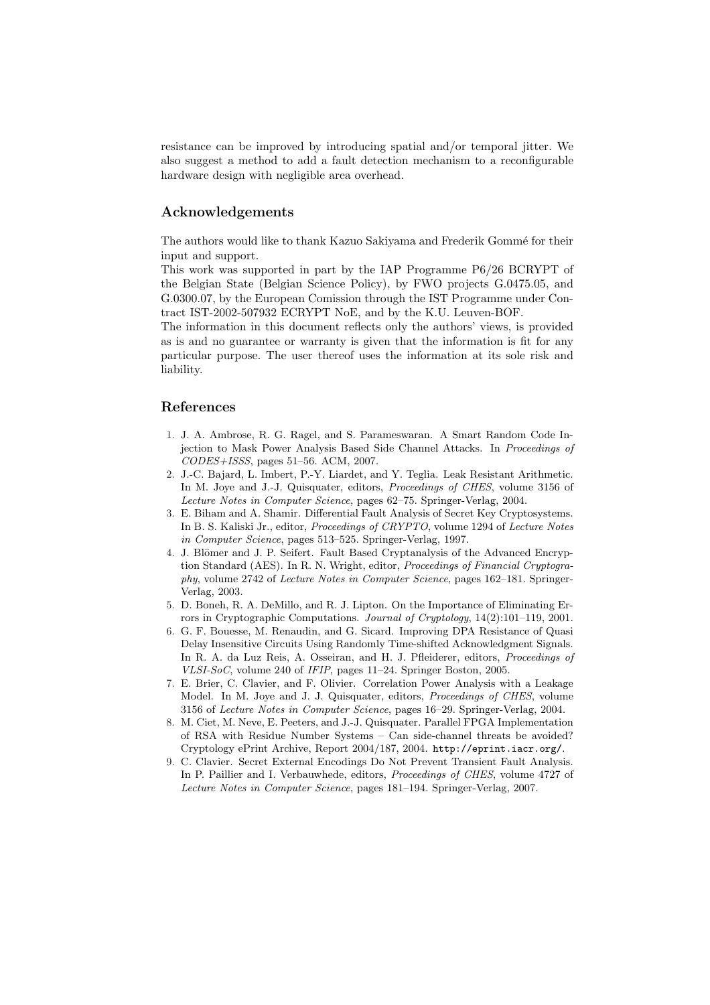resistance can be improved by introducing spatial and/or temporal jitter. We also suggest a method to add a fault detection mechanism to a reconfigurable hardware design with negligible area overhead.

# Acknowledgements

The authors would like to thank Kazuo Sakiyama and Frederik Gommé for their input and support.

This work was supported in part by the IAP Programme P6/26 BCRYPT of the Belgian State (Belgian Science Policy), by FWO projects G.0475.05, and G.0300.07, by the European Comission through the IST Programme under Contract IST-2002-507932 ECRYPT NoE, and by the K.U. Leuven-BOF.

The information in this document reflects only the authors' views, is provided as is and no guarantee or warranty is given that the information is fit for any particular purpose. The user thereof uses the information at its sole risk and liability.

### References

- 1. J. A. Ambrose, R. G. Ragel, and S. Parameswaran. A Smart Random Code Injection to Mask Power Analysis Based Side Channel Attacks. In Proceedings of CODES+ISSS, pages 51–56. ACM, 2007.
- 2. J.-C. Bajard, L. Imbert, P.-Y. Liardet, and Y. Teglia. Leak Resistant Arithmetic. In M. Joye and J.-J. Quisquater, editors, Proceedings of CHES, volume 3156 of Lecture Notes in Computer Science, pages 62–75. Springer-Verlag, 2004.
- 3. E. Biham and A. Shamir. Differential Fault Analysis of Secret Key Cryptosystems. In B. S. Kaliski Jr., editor, Proceedings of CRYPTO, volume 1294 of Lecture Notes in Computer Science, pages 513–525. Springer-Verlag, 1997.
- 4. J. Blömer and J. P. Seifert. Fault Based Cryptanalysis of the Advanced Encryption Standard (AES). In R. N. Wright, editor, Proceedings of Financial Cryptography, volume 2742 of Lecture Notes in Computer Science, pages 162–181. Springer-Verlag, 2003.
- 5. D. Boneh, R. A. DeMillo, and R. J. Lipton. On the Importance of Eliminating Errors in Cryptographic Computations. Journal of Cryptology, 14(2):101–119, 2001.
- 6. G. F. Bouesse, M. Renaudin, and G. Sicard. Improving DPA Resistance of Quasi Delay Insensitive Circuits Using Randomly Time-shifted Acknowledgment Signals. In R. A. da Luz Reis, A. Osseiran, and H. J. Pfleiderer, editors, Proceedings of VLSI-SoC, volume 240 of IFIP, pages 11–24. Springer Boston, 2005.
- 7. E. Brier, C. Clavier, and F. Olivier. Correlation Power Analysis with a Leakage Model. In M. Joye and J. J. Quisquater, editors, Proceedings of CHES, volume 3156 of Lecture Notes in Computer Science, pages 16–29. Springer-Verlag, 2004.
- 8. M. Ciet, M. Neve, E. Peeters, and J.-J. Quisquater. Parallel FPGA Implementation of RSA with Residue Number Systems – Can side-channel threats be avoided? Cryptology ePrint Archive, Report 2004/187, 2004. http://eprint.iacr.org/.
- 9. C. Clavier. Secret External Encodings Do Not Prevent Transient Fault Analysis. In P. Paillier and I. Verbauwhede, editors, Proceedings of CHES, volume 4727 of Lecture Notes in Computer Science, pages 181–194. Springer-Verlag, 2007.